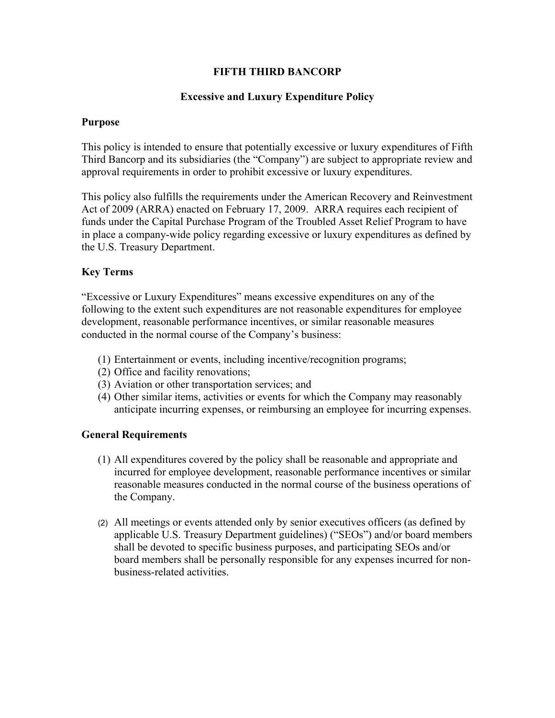## **FIFTH THIRD BANCORP**

## **Excessive and Luxury Expenditure Policy**

#### **Purpose**

This policy is intended to ensure that potentially excessive or luxury expenditures of Fifth Third Bancorp and its subsidiaries (the "Company") are subject to appropriate review and approval requirements in order to prohibit excessive or luxury expenditures.

This policy also fulfills the requirements under the American Recovery and Reinvestment Act of 2009 (ARRA) enacted on February 17, 2009. ARRA requires each recipient of funds under the Capital Purchase Program of the Troubled Asset Relief Program to have in place a company-wide policy regarding excessive or luxury expenditures as defined by the U.S. Treasury Department.

### **Key Terms**

"Excessive or Luxury Expenditures" means excessive expenditures on any of the following to the extent such expenditures are not reasonable expenditures for employee development, reasonable performance incentives, or similar reasonable measures conducted in the normal course of the Company's business:

- (1) Entertainment or events, including incentive/recognition programs;
- (2) Office and facility renovations;
- (3) Aviation or other transportation services; and
- (4) Other similar items, activities or events for which the Company may reasonably anticipate incurring expenses, or reimbursing an employee for incurring expenses.

#### **General Requirements**

- (1) All expenditures covered by the policy shall be reasonable and appropriate and incurred for employee development, reasonable performance incentives or similar reasonable measures conducted in the normal course of the business operations of the Company.
- (2) All meetings or events attended only by senior executives officers (as defined by applicable U.S. Treasury Department guidelines) ("SEOs") and/or board members shall be devoted to specific business purposes, and participating SEOs and/or board members shall be personally responsible for any expenses incurred for nonbusiness-related activities.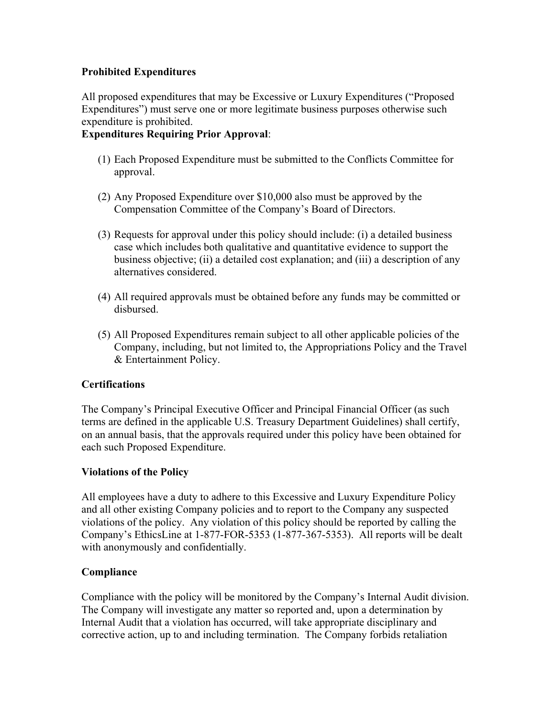# **Prohibited Expenditures**

All proposed expenditures that may be Excessive or Luxury Expenditures ("Proposed Expenditures") must serve one or more legitimate business purposes otherwise such expenditure is prohibited.

# **Expenditures Requiring Prior Approval**:

- (1) Each Proposed Expenditure must be submitted to the Conflicts Committee for approval.
- (2) Any Proposed Expenditure over \$10,000 also must be approved by the Compensation Committee of the Company's Board of Directors.
- (3) Requests for approval under this policy should include: (i) a detailed business case which includes both qualitative and quantitative evidence to support the business objective; (ii) a detailed cost explanation; and (iii) a description of any alternatives considered.
- (4) All required approvals must be obtained before any funds may be committed or disbursed.
- (5) All Proposed Expenditures remain subject to all other applicable policies of the Company, including, but not limited to, the Appropriations Policy and the Travel & Entertainment Policy.

# **Certifications**

The Company's Principal Executive Officer and Principal Financial Officer (as such terms are defined in the applicable U.S. Treasury Department Guidelines) shall certify, on an annual basis, that the approvals required under this policy have been obtained for each such Proposed Expenditure.

# **Violations of the Policy**

All employees have a duty to adhere to this Excessive and Luxury Expenditure Policy and all other existing Company policies and to report to the Company any suspected violations of the policy. Any violation of this policy should be reported by calling the Company's EthicsLine at 1-877-FOR-5353 (1-877-367-5353). All reports will be dealt with anonymously and confidentially.

# **Compliance**

Compliance with the policy will be monitored by the Company's Internal Audit division. The Company will investigate any matter so reported and, upon a determination by Internal Audit that a violation has occurred, will take appropriate disciplinary and corrective action, up to and including termination. The Company forbids retaliation